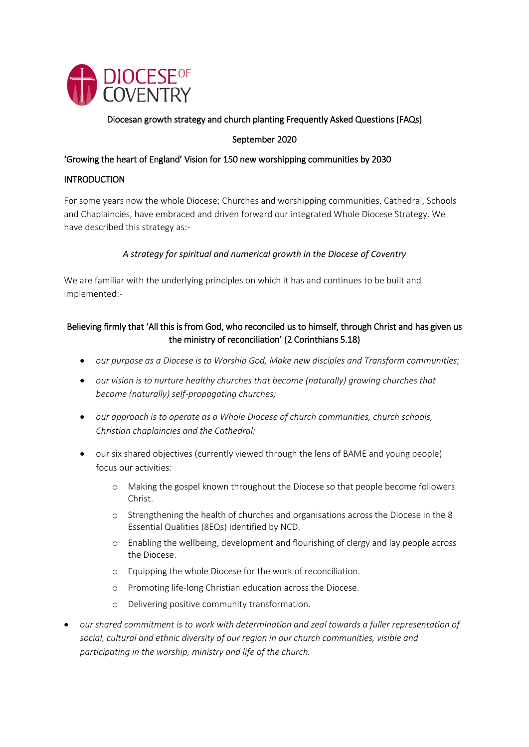

# Diocesan growth strategy and church planting Frequently Asked Questions (FAQs)

### September 2020

#### 'Growing the heart of England' Vision for 150 new worshipping communities by 2030

#### INTRODUCTION

For some years now the whole Diocese; Churches and worshipping communities, Cathedral, Schools and Chaplaincies, have embraced and driven forward our integrated Whole Diocese Strategy. We have described this strategy as:-

### *A strategy for spiritual and numerical growth in the Diocese of Coventry*

We are familiar with the underlying principles on which it has and continues to be built and implemented:-

# Believing firmly that 'All this is from God, who reconciled us to himself, through Christ and has given us the ministry of reconciliation' (2 Corinthians 5.18)

- *our purpose as a Diocese is to Worship God, Make new disciples and Transform communities;*
- *our vision is to nurture healthy churches that become (naturally) growing churches that become (naturally) self-propagating churches;*
- *our approach is to operate as a Whole Diocese of church communities, church schools, Christian chaplaincies and the Cathedral;*
- our six shared objectives (currently viewed through the lens of BAME and young people) focus our activities:
	- o Making the gospel known throughout the Diocese so that people become followers Christ.
	- o Strengthening the health of churches and organisations across the Diocese in the 8 Essential Qualities (8EQs) identified by NCD.
	- o Enabling the wellbeing, development and flourishing of clergy and lay people across the Diocese.
	- o Equipping the whole Diocese for the work of reconciliation.
	- o Promoting life-long Christian education across the Diocese.
	- o Delivering positive community transformation.
- *our shared commitment is to work with determination and zeal towards a fuller representation of social, cultural and ethnic diversity of our region in our church communities, visible and participating in the worship, ministry and life of the church.*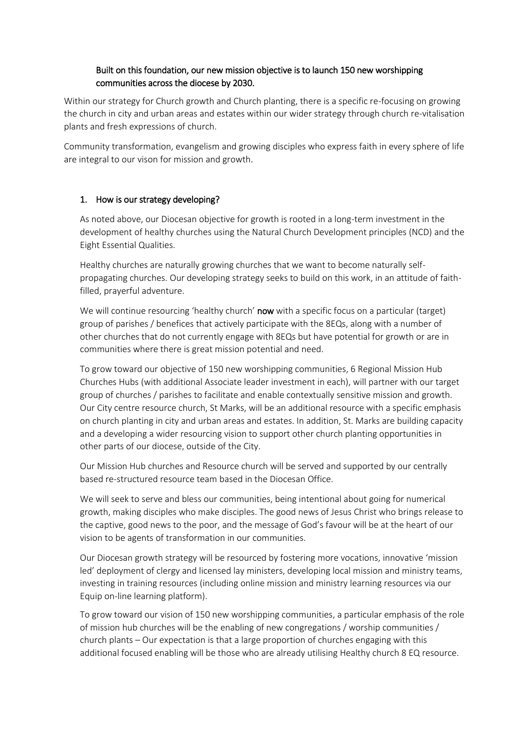# Built on this foundation, our new mission objective is to launch 150 new worshipping communities across the diocese by 2030.

Within our strategy for Church growth and Church planting, there is a specific re-focusing on growing the church in city and urban areas and estates within our wider strategy through church re-vitalisation plants and fresh expressions of church.

Community transformation, evangelism and growing disciples who express faith in every sphere of life are integral to our vison for mission and growth.

#### 1. How is our strategy developing?

As noted above, our Diocesan objective for growth is rooted in a long-term investment in the development of healthy churches using the Natural Church Development principles (NCD) and the Eight Essential Qualities.

Healthy churches are naturally growing churches that we want to become naturally selfpropagating churches. Our developing strategy seeks to build on this work, in an attitude of faithfilled, prayerful adventure.

We will continue resourcing 'healthy church' now with a specific focus on a particular (target) group of parishes / benefices that actively participate with the 8EQs, along with a number of other churches that do not currently engage with 8EQs but have potential for growth or are in communities where there is great mission potential and need.

To grow toward our objective of 150 new worshipping communities, 6 Regional Mission Hub Churches Hubs (with additional Associate leader investment in each), will partner with our target group of churches / parishes to facilitate and enable contextually sensitive mission and growth. Our City centre resource church, St Marks, will be an additional resource with a specific emphasis on church planting in city and urban areas and estates. In addition, St. Marks are building capacity and a developing a wider resourcing vision to support other church planting opportunities in other parts of our diocese, outside of the City.

Our Mission Hub churches and Resource church will be served and supported by our centrally based re-structured resource team based in the Diocesan Office.

We will seek to serve and bless our communities, being intentional about going for numerical growth, making disciples who make disciples. The good news of Jesus Christ who brings release to the captive, good news to the poor, and the message of God's favour will be at the heart of our vision to be agents of transformation in our communities.

Our Diocesan growth strategy will be resourced by fostering more vocations, innovative 'mission led' deployment of clergy and licensed lay ministers, developing local mission and ministry teams, investing in training resources (including online mission and ministry learning resources via our Equip on-line learning platform).

To grow toward our vision of 150 new worshipping communities, a particular emphasis of the role of mission hub churches will be the enabling of new congregations / worship communities / church plants – Our expectation is that a large proportion of churches engaging with this additional focused enabling will be those who are already utilising Healthy church 8 EQ resource.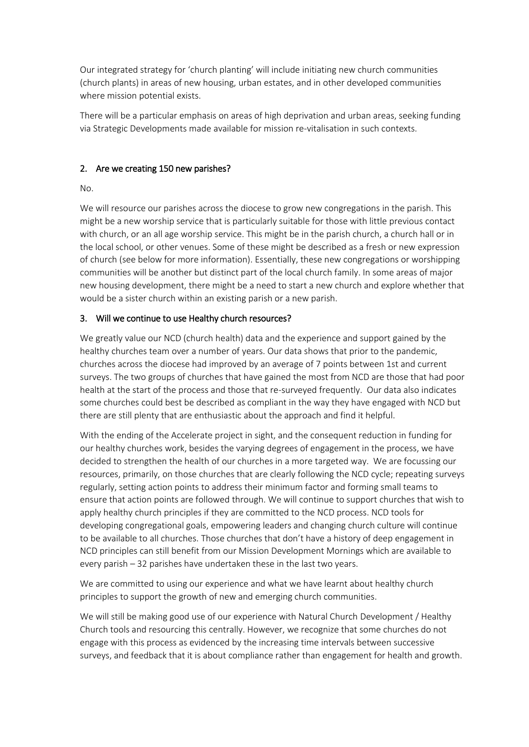Our integrated strategy for 'church planting' will include initiating new church communities (church plants) in areas of new housing, urban estates, and in other developed communities where mission potential exists.

There will be a particular emphasis on areas of high deprivation and urban areas, seeking funding via Strategic Developments made available for mission re-vitalisation in such contexts.

#### 2. Are we creating 150 new parishes?

#### No.

We will resource our parishes across the diocese to grow new congregations in the parish. This might be a new worship service that is particularly suitable for those with little previous contact with church, or an all age worship service. This might be in the parish church, a church hall or in the local school, or other venues. Some of these might be described as a fresh or new expression of church (see below for more information). Essentially, these new congregations or worshipping communities will be another but distinct part of the local church family. In some areas of major new housing development, there might be a need to start a new church and explore whether that would be a sister church within an existing parish or a new parish.

#### 3. Will we continue to use Healthy church resources?

We greatly value our NCD (church health) data and the experience and support gained by the healthy churches team over a number of years. Our data shows that prior to the pandemic, churches across the diocese had improved by an average of 7 points between 1st and current surveys. The two groups of churches that have gained the most from NCD are those that had poor health at the start of the process and those that re-surveyed frequently. Our data also indicates some churches could best be described as compliant in the way they have engaged with NCD but there are still plenty that are enthusiastic about the approach and find it helpful.

With the ending of the Accelerate project in sight, and the consequent reduction in funding for our healthy churches work, besides the varying degrees of engagement in the process, we have decided to strengthen the health of our churches in a more targeted way. We are focussing our resources, primarily, on those churches that are clearly following the NCD cycle; repeating surveys regularly, setting action points to address their minimum factor and forming small teams to ensure that action points are followed through. We will continue to support churches that wish to apply healthy church principles if they are committed to the NCD process. NCD tools for developing congregational goals, empowering leaders and changing church culture will continue to be available to all churches. Those churches that don't have a history of deep engagement in NCD principles can still benefit from our Mission Development Mornings which are available to every parish – 32 parishes have undertaken these in the last two years.

We are committed to using our experience and what we have learnt about healthy church principles to support the growth of new and emerging church communities.

We will still be making good use of our experience with Natural Church Development / Healthy Church tools and resourcing this centrally. However, we recognize that some churches do not engage with this process as evidenced by the increasing time intervals between successive surveys, and feedback that it is about compliance rather than engagement for health and growth.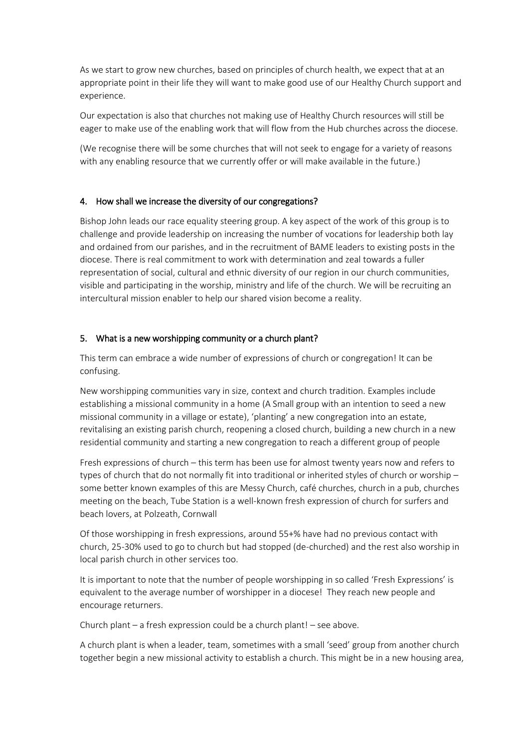As we start to grow new churches, based on principles of church health, we expect that at an appropriate point in their life they will want to make good use of our Healthy Church support and experience.

Our expectation is also that churches not making use of Healthy Church resources will still be eager to make use of the enabling work that will flow from the Hub churches across the diocese.

(We recognise there will be some churches that will not seek to engage for a variety of reasons with any enabling resource that we currently offer or will make available in the future.)

#### 4. How shall we increase the diversity of our congregations?

Bishop John leads our race equality steering group. A key aspect of the work of this group is to challenge and provide leadership on increasing the number of vocations for leadership both lay and ordained from our parishes, and in the recruitment of BAME leaders to existing posts in the diocese. There is real commitment to work with determination and zeal towards a fuller representation of social, cultural and ethnic diversity of our region in our church communities, visible and participating in the worship, ministry and life of the church. We will be recruiting an intercultural mission enabler to help our shared vision become a reality.

#### 5. What is a new worshipping community or a church plant?

This term can embrace a wide number of expressions of church or congregation! It can be confusing.

New worshipping communities vary in size, context and church tradition. Examples include establishing a missional community in a home (A Small group with an intention to seed a new missional community in a village or estate), 'planting' a new congregation into an estate, revitalising an existing parish church, reopening a closed church, building a new church in a new residential community and starting a new congregation to reach a different group of people

Fresh expressions of church – this term has been use for almost twenty years now and refers to types of church that do not normally fit into traditional or inherited styles of church or worship – some better known examples of this are Messy Church, café churches, church in a pub, churches meeting on the beach, Tube Station is a well-known fresh expression of church for surfers and beach lovers, at Polzeath, Cornwall

Of those worshipping in fresh expressions, around 55+% have had no previous contact with church, 25-30% used to go to church but had stopped (de-churched) and the rest also worship in local parish church in other services too.

It is important to note that the number of people worshipping in so called 'Fresh Expressions' is equivalent to the average number of worshipper in a diocese! They reach new people and encourage returners.

Church plant – a fresh expression could be a church plant! – see above.

A church plant is when a leader, team, sometimes with a small 'seed' group from another church together begin a new missional activity to establish a church. This might be in a new housing area,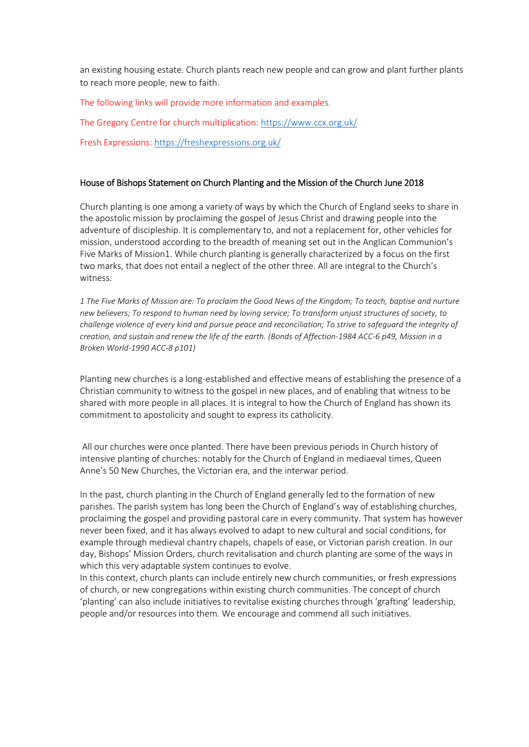an existing housing estate. Church plants reach new people and can grow and plant further plants to reach more people, new to faith.

The following links will provide more information and examples.

The Gregory Centre for church multiplication[: https://www.ccx.org.uk/](https://www.ccx.org.uk/)

Fresh Expressions[: https://freshexpressions.org.uk/](https://freshexpressions.org.uk/)

#### House of Bishops Statement on Church Planting and the Mission of the Church June 2018

Church planting is one among a variety of ways by which the Church of England seeks to share in the apostolic mission by proclaiming the gospel of Jesus Christ and drawing people into the adventure of discipleship. It is complementary to, and not a replacement for, other vehicles for mission, understood according to the breadth of meaning set out in the Anglican Communion's Five Marks of Mission1. While church planting is generally characterized by a focus on the first two marks, that does not entail a neglect of the other three. All are integral to the Church's witness.

*1 The Five Marks of Mission are: To proclaim the Good News of the Kingdom; To teach, baptise and nurture new believers; To respond to human need by loving service; To transform unjust structures of society, to challenge violence of every kind and pursue peace and reconciliation; To strive to safeguard the integrity of creation, and sustain and renew the life of the earth. (Bonds of Affection-1984 ACC-6 p49, Mission in a Broken World-1990 ACC-8 p101)* 

Planting new churches is a long-established and effective means of establishing the presence of a Christian community to witness to the gospel in new places, and of enabling that witness to be shared with more people in all places. It is integral to how the Church of England has shown its commitment to apostolicity and sought to express its catholicity.

All our churches were once planted. There have been previous periods in Church history of intensive planting of churches: notably for the Church of England in mediaeval times, Queen Anne's 50 New Churches, the Victorian era, and the interwar period.

In the past, church planting in the Church of England generally led to the formation of new parishes. The parish system has long been the Church of England's way of establishing churches, proclaiming the gospel and providing pastoral care in every community. That system has however never been fixed, and it has always evolved to adapt to new cultural and social conditions, for example through medieval chantry chapels, chapels of ease, or Victorian parish creation. In our day, Bishops' Mission Orders, church revitalisation and church planting are some of the ways in which this very adaptable system continues to evolve.

In this context, church plants can include entirely new church communities, or fresh expressions of church, or new congregations within existing church communities. The concept of church 'planting' can also include initiatives to revitalise existing churches through 'grafting' leadership, people and/or resources into them. We encourage and commend all such initiatives.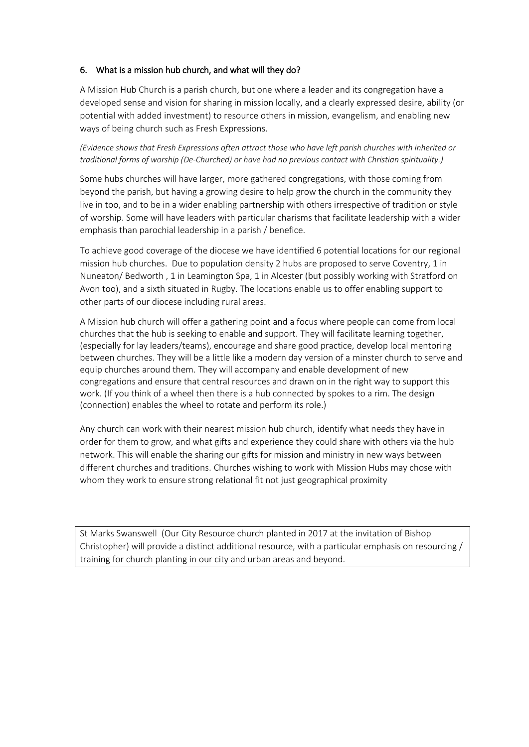#### 6. What is a mission hub church, and what will they do?

A Mission Hub Church is a parish church, but one where a leader and its congregation have a developed sense and vision for sharing in mission locally, and a clearly expressed desire, ability (or potential with added investment) to resource others in mission, evangelism, and enabling new ways of being church such as Fresh Expressions.

*(Evidence shows that Fresh Expressions often attract those who have left parish churches with inherited or traditional forms of worship (De-Churched) or have had no previous contact with Christian spirituality.)*

Some hubs churches will have larger, more gathered congregations, with those coming from beyond the parish, but having a growing desire to help grow the church in the community they live in too, and to be in a wider enabling partnership with others irrespective of tradition or style of worship. Some will have leaders with particular charisms that facilitate leadership with a wider emphasis than parochial leadership in a parish / benefice.

To achieve good coverage of the diocese we have identified 6 potential locations for our regional mission hub churches. Due to population density 2 hubs are proposed to serve Coventry, 1 in Nuneaton/ Bedworth , 1 in Leamington Spa, 1 in Alcester (but possibly working with Stratford on Avon too), and a sixth situated in Rugby. The locations enable us to offer enabling support to other parts of our diocese including rural areas.

A Mission hub church will offer a gathering point and a focus where people can come from local churches that the hub is seeking to enable and support. They will facilitate learning together, (especially for lay leaders/teams), encourage and share good practice, develop local mentoring between churches. They will be a little like a modern day version of a minster church to serve and equip churches around them. They will accompany and enable development of new congregations and ensure that central resources and drawn on in the right way to support this work. (If you think of a wheel then there is a hub connected by spokes to a rim. The design (connection) enables the wheel to rotate and perform its role.)

Any church can work with their nearest mission hub church, identify what needs they have in order for them to grow, and what gifts and experience they could share with others via the hub network. This will enable the sharing our gifts for mission and ministry in new ways between different churches and traditions. Churches wishing to work with Mission Hubs may chose with whom they work to ensure strong relational fit not just geographical proximity

St Marks Swanswell (Our City Resource church planted in 2017 at the invitation of Bishop Christopher) will provide a distinct additional resource, with a particular emphasis on resourcing / training for church planting in our city and urban areas and beyond.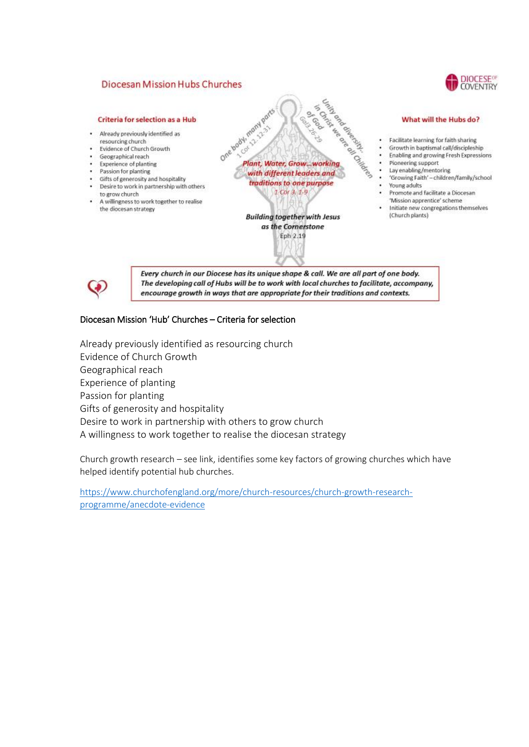#### **Diocesan Mission Hubs Churches**



#### **Criteria for selection as a Hub**

- Already previously identified as resourcing church
- Evidence of Church Growth
- Geographical reach Experience of planting
- Passion for planting
- Gifts of generosity and hospitality
- Desire to work in partnership with others to grow church
- A willingness to work together to realise the diocesan strategy



**COVIDO** 

**Building together with Jesus** as the Cornerstone Eph 2.19

#### What will the Hubs do?

- Facilitate learning for faith sharing
- Growth in baptismal call/discipleship
- ۷ Enabling and growing Fresh Expressions
- Pioneering support  $\ddot{\phantom{a}}$
- Lay enabling/mentoring
- 'Growing Faith' children/family/school Young adults
- Promote and facilitate a Diocesan
- "Mission apprentice" scheme Initiate new congregations themselves (Church plants)



Every church in our Diocese has its unique shape & call. We are all part of one body. The developing call of Hubs will be to work with local churches to facilitate, accompany, encourage growth in ways that are appropriate for their traditions and contexts.

#### Diocesan Mission 'Hub' Churches – Criteria for selection

Already previously identified as resourcing church Evidence of Church Growth Geographical reach Experience of planting Passion for planting Gifts of generosity and hospitality Desire to work in partnership with others to grow church A willingness to work together to realise the diocesan strategy

Church growth research – see link, identifies some key factors of growing churches which have helped identify potential hub churches.

[https://www.churchofengland.org/more/church-resources/church-growth-research](https://www.churchofengland.org/more/church-resources/church-growth-research-programme/anecdote-evidence)[programme/anecdote-evidence](https://www.churchofengland.org/more/church-resources/church-growth-research-programme/anecdote-evidence)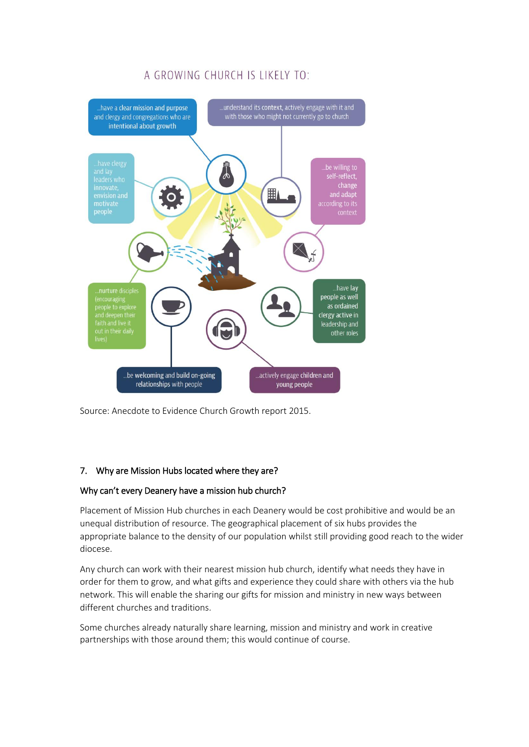

# A GROWING CHURCH IS LIKELY TO

Source: Anecdote to Evidence Church Growth report 2015.

# 7. Why are Mission Hubs located where they are?

#### Why can't every Deanery have a mission hub church?

Placement of Mission Hub churches in each Deanery would be cost prohibitive and would be an unequal distribution of resource. The geographical placement of six hubs provides the appropriate balance to the density of our population whilst still providing good reach to the wider diocese.

Any church can work with their nearest mission hub church, identify what needs they have in order for them to grow, and what gifts and experience they could share with others via the hub network. This will enable the sharing our gifts for mission and ministry in new ways between different churches and traditions.

Some churches already naturally share learning, mission and ministry and work in creative partnerships with those around them; this would continue of course.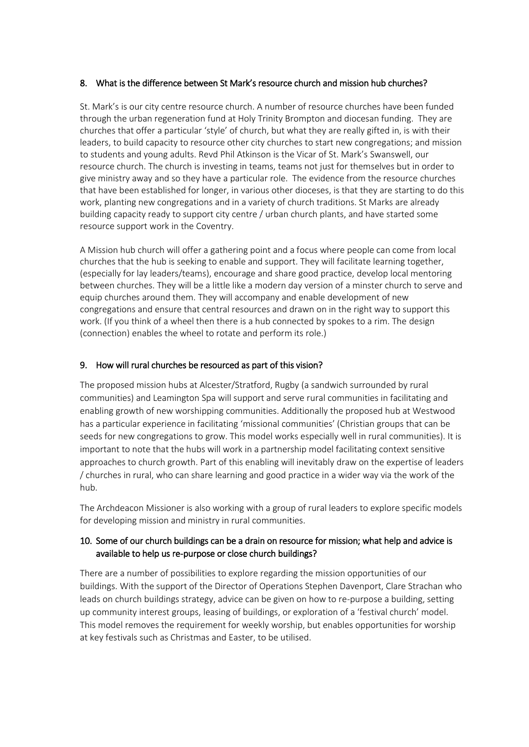#### 8. What is the difference between St Mark's resource church and mission hub churches?

St. Mark's is our city centre resource church. A number of resource churches have been funded through the urban regeneration fund at Holy Trinity Brompton and diocesan funding. They are churches that offer a particular 'style' of church, but what they are really gifted in, is with their leaders, to build capacity to resource other city churches to start new congregations; and mission to students and young adults. Revd Phil Atkinson is the Vicar of St. Mark's Swanswell, our resource church. The church is investing in teams, teams not just for themselves but in order to give ministry away and so they have a particular role. The evidence from the resource churches that have been established for longer, in various other dioceses, is that they are starting to do this work, planting new congregations and in a variety of church traditions. St Marks are already building capacity ready to support city centre / urban church plants, and have started some resource support work in the Coventry.

A Mission hub church will offer a gathering point and a focus where people can come from local churches that the hub is seeking to enable and support. They will facilitate learning together, (especially for lay leaders/teams), encourage and share good practice, develop local mentoring between churches. They will be a little like a modern day version of a minster church to serve and equip churches around them. They will accompany and enable development of new congregations and ensure that central resources and drawn on in the right way to support this work. (If you think of a wheel then there is a hub connected by spokes to a rim. The design (connection) enables the wheel to rotate and perform its role.)

#### 9. How will rural churches be resourced as part of this vision?

The proposed mission hubs at Alcester/Stratford, Rugby (a sandwich surrounded by rural communities) and Leamington Spa will support and serve rural communities in facilitating and enabling growth of new worshipping communities. Additionally the proposed hub at Westwood has a particular experience in facilitating 'missional communities' (Christian groups that can be seeds for new congregations to grow. This model works especially well in rural communities). It is important to note that the hubs will work in a partnership model facilitating context sensitive approaches to church growth. Part of this enabling will inevitably draw on the expertise of leaders / churches in rural, who can share learning and good practice in a wider way via the work of the hub.

The Archdeacon Missioner is also working with a group of rural leaders to explore specific models for developing mission and ministry in rural communities.

### 10. Some of our church buildings can be a drain on resource for mission; what help and advice is available to help us re-purpose or close church buildings?

There are a number of possibilities to explore regarding the mission opportunities of our buildings. With the support of the Director of Operations Stephen Davenport, Clare Strachan who leads on church buildings strategy, advice can be given on how to re-purpose a building, setting up community interest groups, leasing of buildings, or exploration of a 'festival church' model. This model removes the requirement for weekly worship, but enables opportunities for worship at key festivals such as Christmas and Easter, to be utilised.